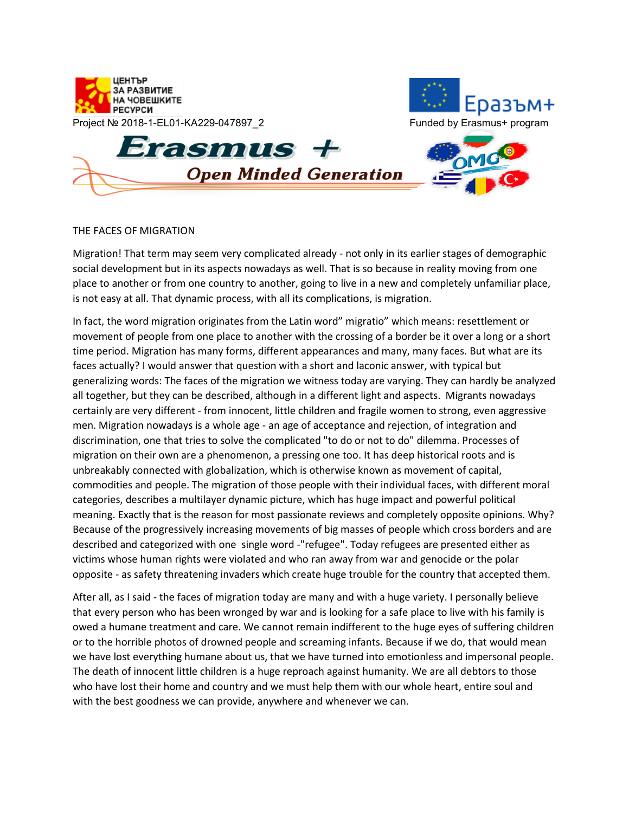

## THE FACES OF MIGRATION

Migration! That term may seem very complicated already - not only in its earlier stages of demographic social development but in its aspects nowadays as well. That is so because in reality moving from one place to another or from one country to another, going to live in a new and completely unfamiliar place, is not easy at all. That dynamic process, with all its complications, is migration.

In fact, the word migration originates from the Latin word" migratio" which means: resettlement or movement of people from one place to another with the crossing of a border be it over a long or a short time period. Migration has many forms, different appearances and many, many faces. But what are its faces actually? I would answer that question with a short and laconic answer, with typical but generalizing words: The faces of the migration we witness today are varying. They can hardly be analyzed all together, but they can be described, although in a different light and aspects. Migrants nowadays certainly are very different - from innocent, little children and fragile women to strong, even aggressive men. Migration nowadays is a whole age - an age of acceptance and rejection, of integration and discrimination, one that tries to solve the complicated "to do or not to do" dilemma. Processes of migration on their own are a phenomenon, a pressing one too. It has deep historical roots and is unbreakably connected with globalization, which is otherwise known as movement of capital, commodities and people. The migration of those people with their individual faces, with different moral categories, describes a multilayer dynamic picture, which has huge impact and powerful political meaning. Exactly that is the reason for most passionate reviews and completely opposite opinions. Why? Because of the progressively increasing movements of big masses of people which cross borders and are described and categorized with one single word -"refugee". Today refugees are presented either as victims whose human rights were violated and who ran away from war and genocide or the polar opposite - as safety threatening invaders which create huge trouble for the country that accepted them.

After all, as I said - the faces of migration today are many and with a huge variety. I personally believe that every person who has been wronged by war and is looking for a safe place to live with his family is owed a humane treatment and care. We cannot remain indifferent to the huge eyes of suffering children or to the horrible photos of drowned people and screaming infants. Because if we do, that would mean we have lost everything humane about us, that we have turned into emotionless and impersonal people. The death of innocent little children is a huge reproach against humanity. We are all debtors to those who have lost their home and country and we must help them with our whole heart, entire soul and with the best goodness we can provide, anywhere and whenever we can.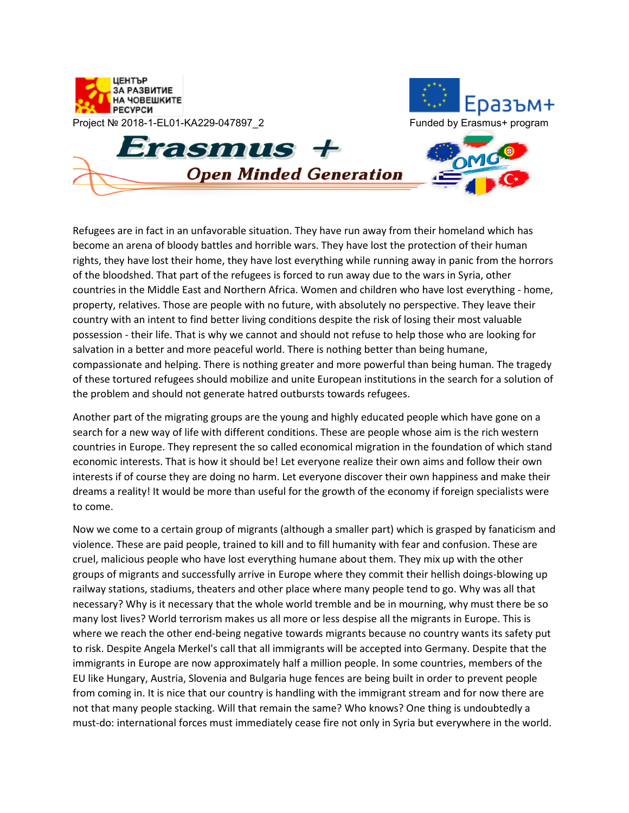

Refugees are in fact in an unfavorable situation. They have run away from their homeland which has become an arena of bloody battles and horrible wars. They have lost the protection of their human rights, they have lost their home, they have lost everything while running away in panic from the horrors of the bloodshed. That part of the refugees is forced to run away due to the wars in Syria, other countries in the Middle East and Northern Africa. Women and children who have lost everything - home, property, relatives. Those are people with no future, with absolutely no perspective. They leave their country with an intent to find better living conditions despite the risk of losing their most valuable possession - their life. That is why we cannot and should not refuse to help those who are looking for salvation in a better and more peaceful world. There is nothing better than being humane, compassionate and helping. There is nothing greater and more powerful than being human. The tragedy of these tortured refugees should mobilize and unite European institutions in the search for a solution of the problem and should not generate hatred outbursts towards refugees.

Another part of the migrating groups are the young and highly educated people which have gone on a search for a new way of life with different conditions. These are people whose aim is the rich western countries in Europe. They represent the so called economical migration in the foundation of which stand economic interests. That is how it should be! Let everyone realize their own aims and follow their own interests if of course they are doing no harm. Let everyone discover their own happiness and make their dreams a reality! It would be more than useful for the growth of the economy if foreign specialists were to come.

Now we come to a certain group of migrants (although a smaller part) which is grasped by fanaticism and violence. These are paid people, trained to kill and to fill humanity with fear and confusion. These are cruel, malicious people who have lost everything humane about them. They mix up with the other groups of migrants and successfully arrive in Europe where they commit their hellish doings-blowing up railway stations, stadiums, theaters and other place where many people tend to go. Why was all that necessary? Why is it necessary that the whole world tremble and be in mourning, why must there be so many lost lives? World terrorism makes us all more or less despise all the migrants in Europe. This is where we reach the other end-being negative towards migrants because no country wants its safety put to risk. Despite Angela Merkel's call that all immigrants will be accepted into Germany. Despite that the immigrants in Europe are now approximately half a million people. In some countries, members of the EU like Hungary, Austria, Slovenia and Bulgaria huge fences are being built in order to prevent people from coming in. It is nice that our country is handling with the immigrant stream and for now there are not that many people stacking. Will that remain the same? Who knows? One thing is undoubtedly a must-do: international forces must immediately cease fire not only in Syria but everywhere in the world.